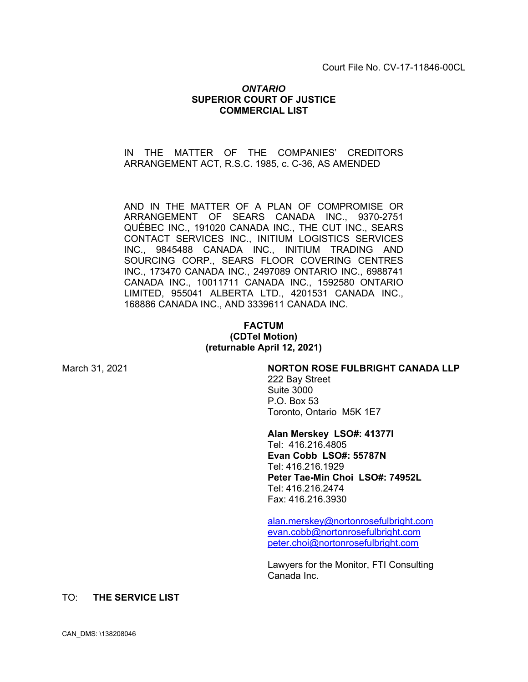Court File No. CV-17-11846-00CL

### *ONTARIO* **SUPERIOR COURT OF JUSTICE COMMERCIAL LIST**

## IN THE MATTER OF THE COMPANIES' CREDITORS ARRANGEMENT ACT, R.S.C. 1985, c. C-36, AS AMENDED

AND IN THE MATTER OF A PLAN OF COMPROMISE OR ARRANGEMENT OF SEARS CANADA INC., 9370-2751 QUÉBEC INC., 191020 CANADA INC., THE CUT INC., SEARS CONTACT SERVICES INC., INITIUM LOGISTICS SERVICES INC., 9845488 CANADA INC., INITIUM TRADING AND SOURCING CORP., SEARS FLOOR COVERING CENTRES INC., 173470 CANADA INC., 2497089 ONTARIO INC., 6988741 CANADA INC., 10011711 CANADA INC., 1592580 ONTARIO LIMITED, 955041 ALBERTA LTD., 4201531 CANADA INC., 168886 CANADA INC., AND 3339611 CANADA INC.

## **FACTUM (CDTel Motion) (returnable April 12, 2021)**

#### March 31, 2021 **NORTON ROSE FULBRIGHT CANADA LLP**

222 Bay Street Suite 3000 P.O. Box 53 Toronto, Ontario M5K 1E7

#### **Alan Merskey LSO#: 41377I**

Tel: 416.216.4805 **Evan Cobb LSO#: 55787N** Tel: 416.216.1929 **Peter Tae-Min Choi LSO#: 74952L** Tel: 416.216.2474 Fax: 416.216.3930

alan.merskey@nortonrosefulbright.com evan.cobb@nortonrosefulbright.com peter.choi@nortonrosefulbright.com

Lawyers for the Monitor, FTI Consulting Canada Inc.

## TO: **THE SERVICE LIST**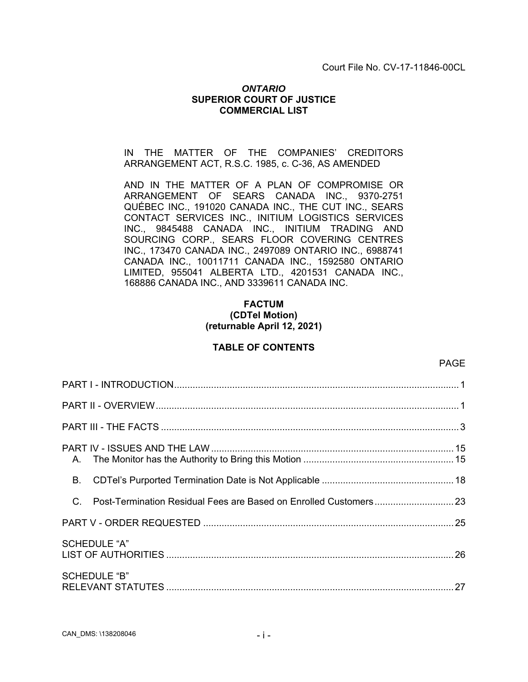Court File No. CV-17-11846-00CL

## *ONTARIO* **SUPERIOR COURT OF JUSTICE COMMERCIAL LIST**

IN THE MATTER OF THE COMPANIES' CREDITORS ARRANGEMENT ACT, R.S.C. 1985, c. C-36, AS AMENDED

AND IN THE MATTER OF A PLAN OF COMPROMISE OR ARRANGEMENT OF SEARS CANADA INC., 9370-2751 QUÉBEC INC., 191020 CANADA INC., THE CUT INC., SEARS CONTACT SERVICES INC., INITIUM LOGISTICS SERVICES INC., 9845488 CANADA INC., INITIUM TRADING AND SOURCING CORP., SEARS FLOOR COVERING CENTRES INC., 173470 CANADA INC., 2497089 ONTARIO INC., 6988741 CANADA INC., 10011711 CANADA INC., 1592580 ONTARIO LIMITED, 955041 ALBERTA LTD., 4201531 CANADA INC., 168886 CANADA INC., AND 3339611 CANADA INC.

# **FACTUM (CDTel Motion) (returnable April 12, 2021)**

# **TABLE OF CONTENTS**

| <b>B</b> .  |                     |  |
|-------------|---------------------|--|
| $C_{\cdot}$ |                     |  |
|             |                     |  |
|             | <b>SCHEDULE "A"</b> |  |
|             | <b>SCHEDULE "B"</b> |  |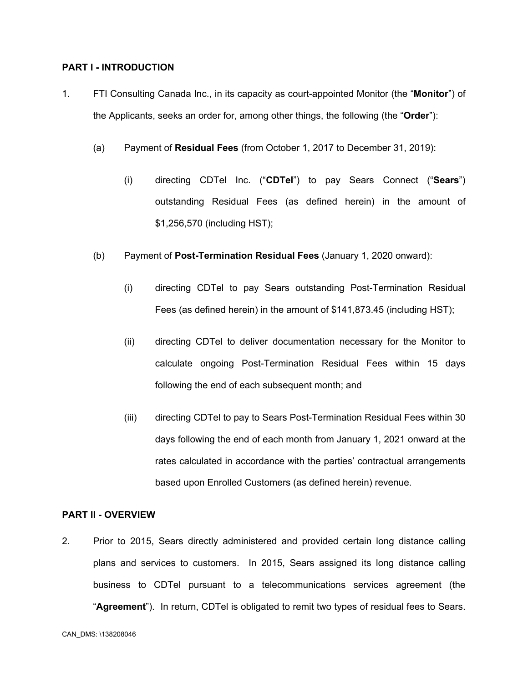## **PART I - INTRODUCTION**

- 1. FTI Consulting Canada Inc., in its capacity as court-appointed Monitor (the "**Monitor**") of the Applicants, seeks an order for, among other things, the following (the "**Order**"):
	- (a) Payment of **Residual Fees** (from October 1, 2017 to December 31, 2019):
		- (i) directing CDTel Inc. ("**CDTel**") to pay Sears Connect ("**Sears**") outstanding Residual Fees (as defined herein) in the amount of \$1,256,570 (including HST);
	- (b) Payment of **Post-Termination Residual Fees** (January 1, 2020 onward):
		- (i) directing CDTel to pay Sears outstanding Post-Termination Residual Fees (as defined herein) in the amount of \$141,873.45 (including HST);
		- (ii) directing CDTel to deliver documentation necessary for the Monitor to calculate ongoing Post-Termination Residual Fees within 15 days following the end of each subsequent month; and
		- (iii) directing CDTel to pay to Sears Post-Termination Residual Fees within 30 days following the end of each month from January 1, 2021 onward at the rates calculated in accordance with the parties' contractual arrangements based upon Enrolled Customers (as defined herein) revenue.

#### **PART II - OVERVIEW**

2. Prior to 2015, Sears directly administered and provided certain long distance calling plans and services to customers. In 2015, Sears assigned its long distance calling business to CDTel pursuant to a telecommunications services agreement (the "**Agreement**"). In return, CDTel is obligated to remit two types of residual fees to Sears.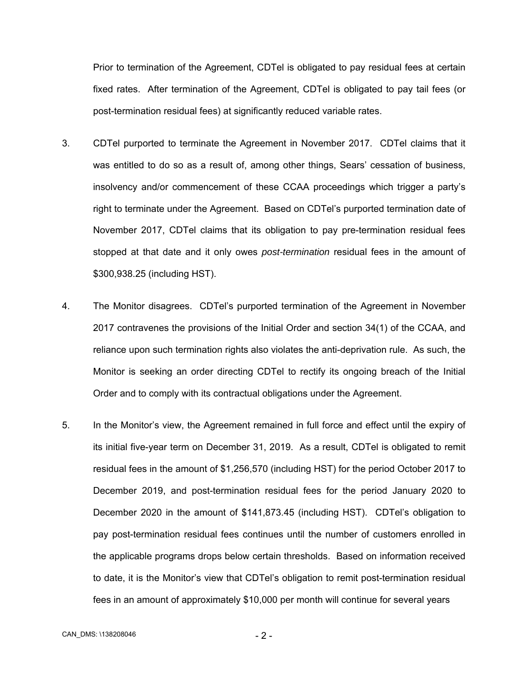Prior to termination of the Agreement, CDTel is obligated to pay residual fees at certain fixed rates. After termination of the Agreement, CDTel is obligated to pay tail fees (or post-termination residual fees) at significantly reduced variable rates.

- 3. CDTel purported to terminate the Agreement in November 2017. CDTel claims that it was entitled to do so as a result of, among other things, Sears' cessation of business, insolvency and/or commencement of these CCAA proceedings which trigger a party's right to terminate under the Agreement. Based on CDTel's purported termination date of November 2017, CDTel claims that its obligation to pay pre-termination residual fees stopped at that date and it only owes *post-termination* residual fees in the amount of \$300,938.25 (including HST).
- 4. The Monitor disagrees. CDTel's purported termination of the Agreement in November 2017 contravenes the provisions of the Initial Order and section 34(1) of the CCAA, and reliance upon such termination rights also violates the anti-deprivation rule. As such, the Monitor is seeking an order directing CDTel to rectify its ongoing breach of the Initial Order and to comply with its contractual obligations under the Agreement.
- 5. In the Monitor's view, the Agreement remained in full force and effect until the expiry of its initial five-year term on December 31, 2019. As a result, CDTel is obligated to remit residual fees in the amount of \$1,256,570 (including HST) for the period October 2017 to December 2019, and post-termination residual fees for the period January 2020 to December 2020 in the amount of \$141,873.45 (including HST). CDTel's obligation to pay post-termination residual fees continues until the number of customers enrolled in the applicable programs drops below certain thresholds. Based on information received to date, it is the Monitor's view that CDTel's obligation to remit post-termination residual fees in an amount of approximately \$10,000 per month will continue for several years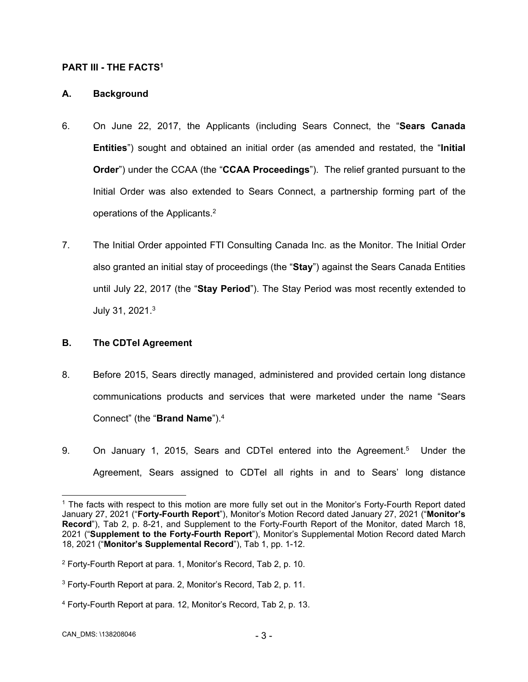## **PART III - THE FACTS1**

## **A. Background**

- 6. On June 22, 2017, the Applicants (including Sears Connect, the "**Sears Canada Entities**") sought and obtained an initial order (as amended and restated, the "**Initial Order**") under the CCAA (the "**CCAA Proceedings**"). The relief granted pursuant to the Initial Order was also extended to Sears Connect, a partnership forming part of the operations of the Applicants.2
- 7. The Initial Order appointed FTI Consulting Canada Inc. as the Monitor. The Initial Order also granted an initial stay of proceedings (the "**Stay**") against the Sears Canada Entities until July 22, 2017 (the "**Stay Period**"). The Stay Period was most recently extended to July 31, 2021.3

## **B. The CDTel Agreement**

- 8. Before 2015, Sears directly managed, administered and provided certain long distance communications products and services that were marketed under the name "Sears Connect" (the "**Brand Name**").4
- 9. On January 1, 2015, Sears and CDTel entered into the Agreement.5 Under the Agreement, Sears assigned to CDTel all rights in and to Sears' long distance

 $\overline{a}$ <sup>1</sup> The facts with respect to this motion are more fully set out in the Monitor's Forty-Fourth Report dated January 27, 2021 ("**Forty-Fourth Report**"), Monitor's Motion Record dated January 27, 2021 ("**Monitor's Record**"), Tab 2, p. 8-21, and Supplement to the Forty-Fourth Report of the Monitor, dated March 18, 2021 ("**Supplement to the Forty-Fourth Report**"), Monitor's Supplemental Motion Record dated March 18, 2021 ("**Monitor's Supplemental Record**"), Tab 1, pp. 1-12.

<sup>2</sup> Forty-Fourth Report at para. 1, Monitor's Record, Tab 2, p. 10.

 $3$  Forty-Fourth Report at para. 2, Monitor's Record, Tab 2, p. 11.

<sup>4</sup> Forty-Fourth Report at para. 12, Monitor's Record, Tab 2, p. 13.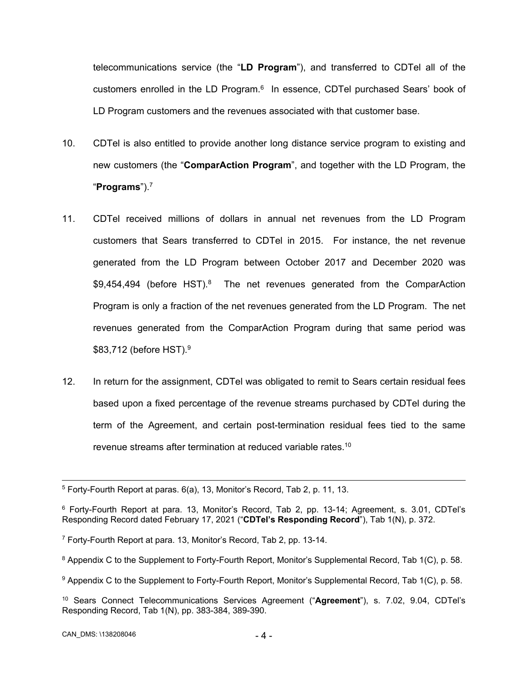telecommunications service (the "**LD Program**"), and transferred to CDTel all of the customers enrolled in the LD Program. $6\,$  In essence, CDTel purchased Sears' book of LD Program customers and the revenues associated with that customer base.

- 10. CDTel is also entitled to provide another long distance service program to existing and new customers (the "**ComparAction Program**", and together with the LD Program, the "**Programs**").7
- 11. CDTel received millions of dollars in annual net revenues from the LD Program customers that Sears transferred to CDTel in 2015. For instance, the net revenue generated from the LD Program between October 2017 and December 2020 was \$9,454,494 (before HST).<sup>8</sup> The net revenues generated from the ComparAction Program is only a fraction of the net revenues generated from the LD Program. The net revenues generated from the ComparAction Program during that same period was \$83,712 (before HST).<sup>9</sup>
- 12. In return for the assignment, CDTel was obligated to remit to Sears certain residual fees based upon a fixed percentage of the revenue streams purchased by CDTel during the term of the Agreement, and certain post-termination residual fees tied to the same revenue streams after termination at reduced variable rates.<sup>10</sup>

 <sup>5</sup> Forty-Fourth Report at paras. 6(a), 13, Monitor's Record, Tab 2, p. 11, 13.

<sup>6</sup> Forty-Fourth Report at para. 13, Monitor's Record, Tab 2, pp. 13-14; Agreement, s. 3.01, CDTel's Responding Record dated February 17, 2021 ("**CDTel's Responding Record**"), Tab 1(N), p. 372.

<sup>7</sup> Forty-Fourth Report at para. 13, Monitor's Record, Tab 2, pp. 13-14.

<sup>8</sup> Appendix C to the Supplement to Forty-Fourth Report, Monitor's Supplemental Record, Tab 1(C), p. 58.

<sup>9</sup> Appendix C to the Supplement to Forty-Fourth Report, Monitor's Supplemental Record, Tab 1(C), p. 58.

<sup>10</sup> Sears Connect Telecommunications Services Agreement ("**Agreement**"), s. 7.02, 9.04, CDTel's Responding Record, Tab 1(N), pp. 383-384, 389-390.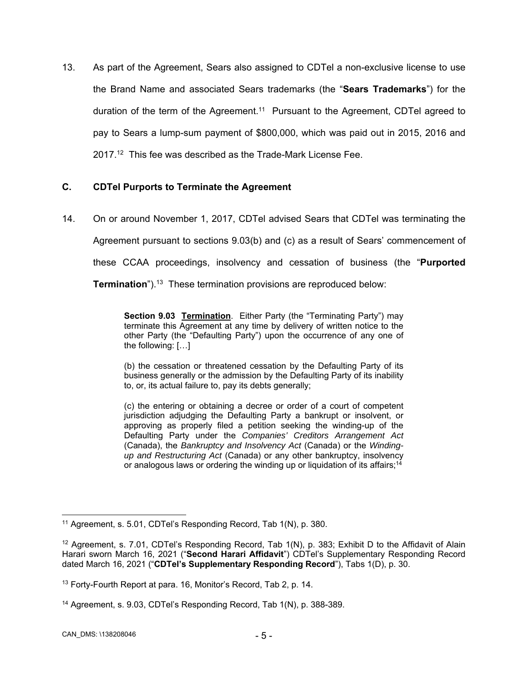13. As part of the Agreement, Sears also assigned to CDTel a non-exclusive license to use the Brand Name and associated Sears trademarks (the "**Sears Trademarks**") for the duration of the term of the Agreement.<sup>11</sup> Pursuant to the Agreement, CDTel agreed to pay to Sears a lump-sum payment of \$800,000, which was paid out in 2015, 2016 and 2017.<sup>12</sup> This fee was described as the Trade-Mark License Fee.

# **C. CDTel Purports to Terminate the Agreement**

14. On or around November 1, 2017, CDTel advised Sears that CDTel was terminating the

Agreement pursuant to sections 9.03(b) and (c) as a result of Sears' commencement of

these CCAA proceedings, insolvency and cessation of business (the "**Purported** 

**Termination**").<sup>13</sup> These termination provisions are reproduced below:

**Section 9.03 Termination**. Either Party (the "Terminating Party") may terminate this Agreement at any time by delivery of written notice to the other Party (the "Defaulting Party") upon the occurrence of any one of the following: […]

(b) the cessation or threatened cessation by the Defaulting Party of its business generally or the admission by the Defaulting Party of its inability to, or, its actual failure to, pay its debts generally;

(c) the entering or obtaining a decree or order of a court of competent jurisdiction adjudging the Defaulting Party a bankrupt or insolvent, or approving as properly filed a petition seeking the winding-up of the Defaulting Party under the *Companies' Creditors Arrangement Act*  (Canada), the *Bankruptcy and Insolvency Act* (Canada) or the *Windingup and Restructuring Act* (Canada) or any other bankruptcy, insolvency or analogous laws or ordering the winding up or liquidation of its affairs;<sup>14</sup>

 $\overline{a}$ <sup>11</sup> Agreement, s. 5.01, CDTel's Responding Record, Tab 1(N), p. 380.

<sup>&</sup>lt;sup>12</sup> Agreement, s. 7.01, CDTel's Responding Record, Tab 1(N), p. 383; Exhibit D to the Affidavit of Alain Harari sworn March 16, 2021 ("**Second Harari Affidavit**") CDTel's Supplementary Responding Record dated March 16, 2021 ("**CDTel's Supplementary Responding Record**"), Tabs 1(D), p. 30.

<sup>&</sup>lt;sup>13</sup> Forty-Fourth Report at para, 16, Monitor's Record, Tab 2, p. 14,

<sup>14</sup> Agreement, s. 9.03, CDTel's Responding Record, Tab 1(N), p. 388-389.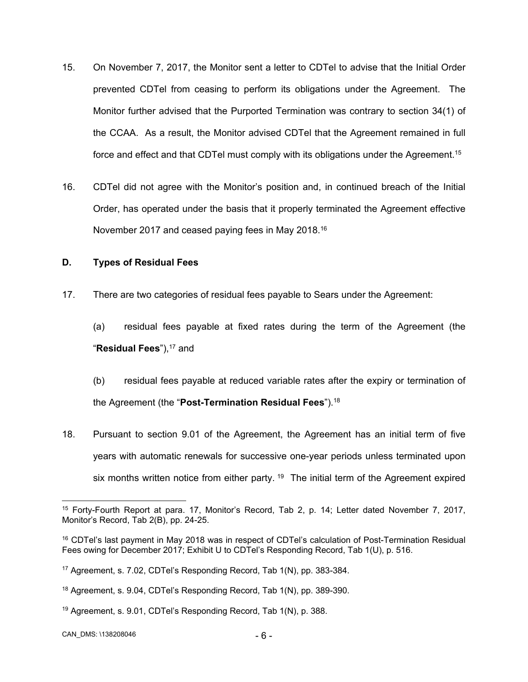- 15. On November 7, 2017, the Monitor sent a letter to CDTel to advise that the Initial Order prevented CDTel from ceasing to perform its obligations under the Agreement. The Monitor further advised that the Purported Termination was contrary to section 34(1) of the CCAA. As a result, the Monitor advised CDTel that the Agreement remained in full force and effect and that CDTel must comply with its obligations under the Agreement.<sup>15</sup>
- 16. CDTel did not agree with the Monitor's position and, in continued breach of the Initial Order, has operated under the basis that it properly terminated the Agreement effective November 2017 and ceased paying fees in May 2018.<sup>16</sup>

# **D. Types of Residual Fees**

17. There are two categories of residual fees payable to Sears under the Agreement:

(a) residual fees payable at fixed rates during the term of the Agreement (the "Residual Fees"),<sup>17</sup> and

- (b) residual fees payable at reduced variable rates after the expiry or termination of the Agreement (the "**Post-Termination Residual Fees**").18
- 18. Pursuant to section 9.01 of the Agreement, the Agreement has an initial term of five years with automatic renewals for successive one-year periods unless terminated upon six months written notice from either party.  $19$  The initial term of the Agreement expired

<sup>15</sup> Forty-Fourth Report at para. 17, Monitor's Record, Tab 2, p. 14; Letter dated November 7, 2017, Monitor's Record, Tab 2(B), pp. 24-25.

<sup>&</sup>lt;sup>16</sup> CDTel's last payment in May 2018 was in respect of CDTel's calculation of Post-Termination Residual Fees owing for December 2017; Exhibit U to CDTel's Responding Record, Tab 1(U), p. 516.

<sup>17</sup> Agreement, s. 7.02, CDTel's Responding Record, Tab 1(N), pp. 383-384.

<sup>&</sup>lt;sup>18</sup> Agreement, s. 9.04, CDTel's Responding Record, Tab 1(N), pp. 389-390.

<sup>19</sup> Agreement, s. 9.01, CDTel's Responding Record, Tab 1(N), p. 388.

CAN\_DMS: \138208046 - 6 -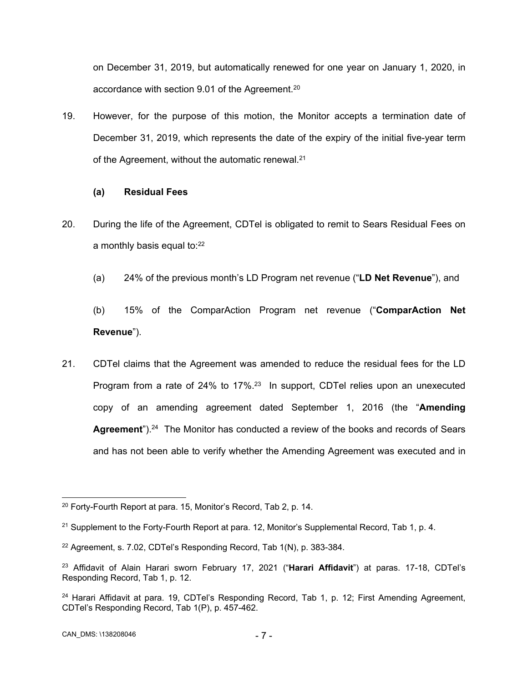on December 31, 2019, but automatically renewed for one year on January 1, 2020, in accordance with section 9.01 of the Agreement.20

19. However, for the purpose of this motion, the Monitor accepts a termination date of December 31, 2019, which represents the date of the expiry of the initial five-year term of the Agreement, without the automatic renewal.<sup>21</sup>

# **(a) Residual Fees**

- 20. During the life of the Agreement, CDTel is obligated to remit to Sears Residual Fees on a monthly basis equal to:<sup>22</sup>
	- (a) 24% of the previous month's LD Program net revenue ("**LD Net Revenue**"), and
	- (b) 15% of the ComparAction Program net revenue ("**ComparAction Net Revenue**").
- 21. CDTel claims that the Agreement was amended to reduce the residual fees for the LD Program from a rate of 24% to 17%.<sup>23</sup> In support, CDTel relies upon an unexecuted copy of an amending agreement dated September 1, 2016 (the "**Amending**  Agreement<sup>"</sup>).<sup>24</sup> The Monitor has conducted a review of the books and records of Sears and has not been able to verify whether the Amending Agreement was executed and in

  $20$  Forty-Fourth Report at para. 15, Monitor's Record, Tab 2, p. 14.

 $21$  Supplement to the Forty-Fourth Report at para. 12, Monitor's Supplemental Record, Tab 1, p. 4.

<sup>22</sup> Agreement, s. 7.02, CDTel's Responding Record, Tab 1(N), p. 383-384.

<sup>23</sup> Affidavit of Alain Harari sworn February 17, 2021 ("**Harari Affidavit**") at paras. 17-18, CDTel's Responding Record, Tab 1, p. 12.

<sup>&</sup>lt;sup>24</sup> Harari Affidavit at para. 19, CDTel's Responding Record, Tab 1, p. 12; First Amending Agreement, CDTel's Responding Record, Tab 1(P), p. 457-462.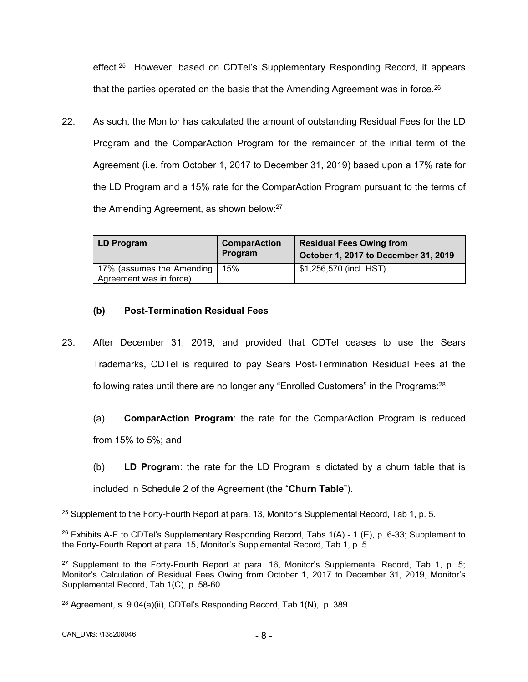effect.25 However, based on CDTel's Supplementary Responding Record, it appears that the parties operated on the basis that the Amending Agreement was in force.<sup>26</sup>

22. As such, the Monitor has calculated the amount of outstanding Residual Fees for the LD Program and the ComparAction Program for the remainder of the initial term of the Agreement (i.e. from October 1, 2017 to December 31, 2019) based upon a 17% rate for the LD Program and a 15% rate for the ComparAction Program pursuant to the terms of the Amending Agreement, as shown below:<sup>27</sup>

| LD Program                | <b>ComparAction</b><br>Program | <b>Residual Fees Owing from</b><br>October 1, 2017 to December 31, 2019 |
|---------------------------|--------------------------------|-------------------------------------------------------------------------|
| 17% (assumes the Amending | 15%                            | \$1,256,570 (incl. HST)                                                 |
| Agreement was in force)   |                                |                                                                         |

# **(b) Post-Termination Residual Fees**

- 23. After December 31, 2019, and provided that CDTel ceases to use the Sears Trademarks, CDTel is required to pay Sears Post-Termination Residual Fees at the following rates until there are no longer any "Enrolled Customers" in the Programs: $^{28}$ 
	- (a) **ComparAction Program**: the rate for the ComparAction Program is reduced from 15% to 5%; and
	- (b) **LD Program**: the rate for the LD Program is dictated by a churn table that is included in Schedule 2 of the Agreement (the "**Churn Table**").

  $25$  Supplement to the Forty-Fourth Report at para. 13, Monitor's Supplemental Record, Tab 1, p. 5.

<sup>&</sup>lt;sup>26</sup> Exhibits A-E to CDTel's Supplementary Responding Record, Tabs  $1(A)$  - 1 (E), p. 6-33; Supplement to the Forty-Fourth Report at para. 15, Monitor's Supplemental Record, Tab 1, p. 5.

<sup>&</sup>lt;sup>27</sup> Supplement to the Forty-Fourth Report at para. 16, Monitor's Supplemental Record, Tab 1, p. 5; Monitor's Calculation of Residual Fees Owing from October 1, 2017 to December 31, 2019, Monitor's Supplemental Record, Tab 1(C), p. 58-60.

 $28$  Agreement, s. 9.04(a)(ii), CDTel's Responding Record, Tab 1(N), p. 389.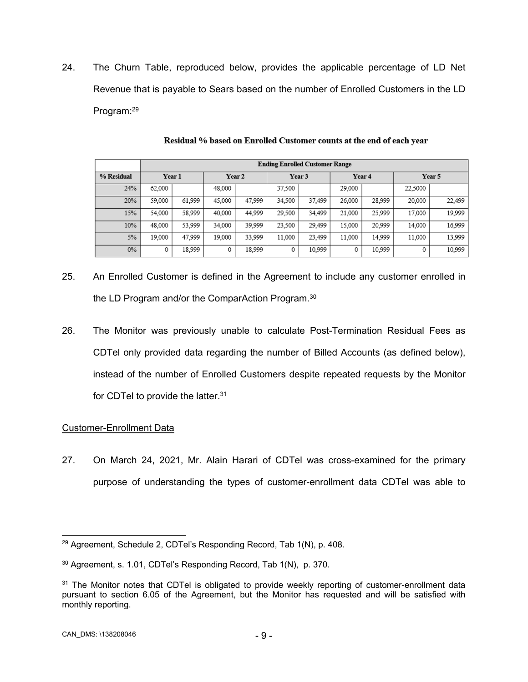24. The Churn Table, reproduced below, provides the applicable percentage of LD Net Revenue that is payable to Sears based on the number of Enrolled Customers in the LD Program:<sup>29</sup>

|            |               | <b>Ending Enrolled Customer Range</b> |        |        |        |        |        |        |         |        |
|------------|---------------|---------------------------------------|--------|--------|--------|--------|--------|--------|---------|--------|
| % Residual |               | Year 1                                |        | Year 2 |        | Year 3 |        | Year 4 |         | Year 5 |
|            | 24%<br>62,000 |                                       | 48,000 |        | 37.500 |        | 29,000 |        | 22,5000 |        |
|            | 20%<br>59,000 | 61,999                                | 45,000 | 47,999 | 34,500 | 37,499 | 26,000 | 28,999 | 20,000  | 22,499 |
|            | 15%<br>54,000 | 58.999                                | 40,000 | 44.999 | 29,500 | 34,499 | 21,000 | 25,999 | 17,000  | 19,999 |
|            | 10%<br>48,000 | 53,999                                | 34,000 | 39,999 | 23.500 | 29,499 | 15,000 | 20.999 | 14,000  | 16,999 |
|            | 5%<br>19,000  | 47.999                                | 19,000 | 33,999 | 11,000 | 23,499 | 11,000 | 14,999 | 11,000  | 13,999 |
|            | $0\%$<br>0    | 18,999                                |        | 18,999 | 0      | 10,999 | 0      | 10,999 | 0       | 10,999 |

Residual % based on Enrolled Customer counts at the end of each year

- 25. An Enrolled Customer is defined in the Agreement to include any customer enrolled in the LD Program and/or the ComparAction Program.<sup>30</sup>
- 26. The Monitor was previously unable to calculate Post-Termination Residual Fees as CDTel only provided data regarding the number of Billed Accounts (as defined below), instead of the number of Enrolled Customers despite repeated requests by the Monitor for CDTel to provide the latter.<sup>31</sup>

# Customer-Enrollment Data

27. On March 24, 2021, Mr. Alain Harari of CDTel was cross-examined for the primary purpose of understanding the types of customer-enrollment data CDTel was able to

 $\overline{a}$ <sup>29</sup> Agreement, Schedule 2, CDTel's Responding Record, Tab 1(N), p. 408.

<sup>30</sup> Agreement, s. 1.01, CDTel's Responding Record, Tab 1(N), p. 370.

<sup>&</sup>lt;sup>31</sup> The Monitor notes that CDTel is obligated to provide weekly reporting of customer-enrollment data pursuant to section 6.05 of the Agreement, but the Monitor has requested and will be satisfied with monthly reporting.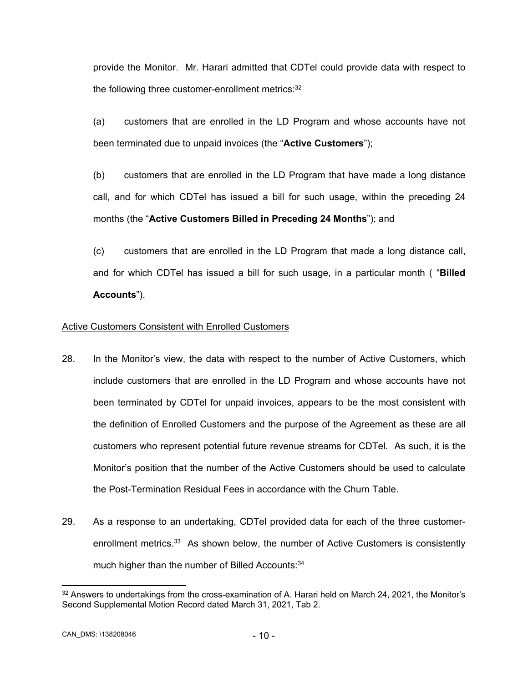provide the Monitor. Mr. Harari admitted that CDTel could provide data with respect to the following three customer-enrollment metrics: 32

(a) customers that are enrolled in the LD Program and whose accounts have not been terminated due to unpaid invoices (the "**Active Customers**");

(b) customers that are enrolled in the LD Program that have made a long distance call, and for which CDTel has issued a bill for such usage, within the preceding 24 months (the "**Active Customers Billed in Preceding 24 Months**"); and

(c) customers that are enrolled in the LD Program that made a long distance call, and for which CDTel has issued a bill for such usage, in a particular month ( "**Billed Accounts**").

# Active Customers Consistent with Enrolled Customers

- 28. In the Monitor's view, the data with respect to the number of Active Customers, which include customers that are enrolled in the LD Program and whose accounts have not been terminated by CDTel for unpaid invoices, appears to be the most consistent with the definition of Enrolled Customers and the purpose of the Agreement as these are all customers who represent potential future revenue streams for CDTel. As such, it is the Monitor's position that the number of the Active Customers should be used to calculate the Post-Termination Residual Fees in accordance with the Churn Table.
- 29. As a response to an undertaking, CDTel provided data for each of the three customerenrollment metrics.<sup>33</sup> As shown below, the number of Active Customers is consistently much higher than the number of Billed Accounts: 34

<sup>&</sup>lt;sup>32</sup> Answers to undertakings from the cross-examination of A. Harari held on March 24, 2021, the Monitor's Second Supplemental Motion Record dated March 31, 2021, Tab 2.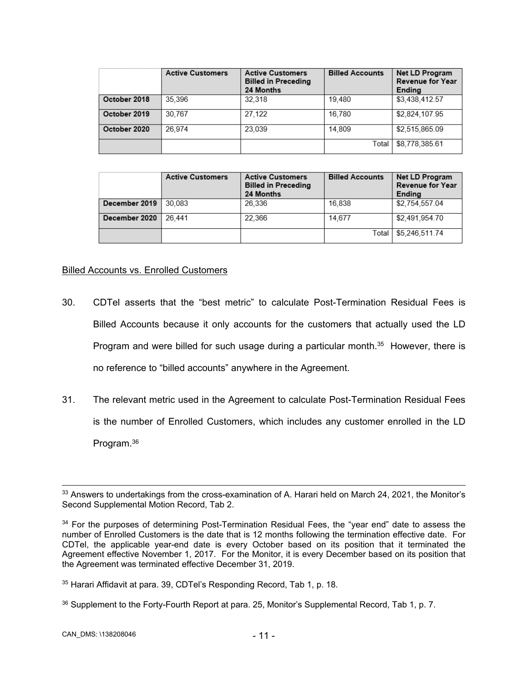|              | <b>Active Customers</b> | <b>Active Customers</b><br><b>Billed in Preceding</b><br>24 Months | <b>Billed Accounts</b> | Net LD Program<br><b>Revenue for Year</b><br>Ending |
|--------------|-------------------------|--------------------------------------------------------------------|------------------------|-----------------------------------------------------|
| October 2018 | 35,396                  | 32.318                                                             | 19.480                 | \$3,438,412.57                                      |
| October 2019 | 30.767                  | 27.122                                                             | 16.780                 | \$2.824,107.95                                      |
| October 2020 | 26.974                  | 23.039                                                             | 14.809                 | \$2.515,865.09                                      |
|              |                         |                                                                    | Total                  | \$8.778.385.61                                      |

|               | <b>Active Customers</b> | <b>Billed Accounts</b><br><b>Active Customers</b><br><b>Billed in Preceding</b><br>24 Months |        | Net LD Program<br><b>Revenue for Year</b><br>Ending |  |
|---------------|-------------------------|----------------------------------------------------------------------------------------------|--------|-----------------------------------------------------|--|
| December 2019 | 30.083                  | 26.336                                                                                       | 16.838 | \$2.754,557.04                                      |  |
| December 2020 | 26.441                  | 22.366                                                                                       | 14.677 | \$2,491,954.70                                      |  |
|               |                         |                                                                                              | Total  | \$5.246.511.74                                      |  |

## Billed Accounts vs. Enrolled Customers

- 30. CDTel asserts that the "best metric" to calculate Post-Termination Residual Fees is Billed Accounts because it only accounts for the customers that actually used the LD Program and were billed for such usage during a particular month.<sup>35</sup> However, there is no reference to "billed accounts" anywhere in the Agreement.
- 31. The relevant metric used in the Agreement to calculate Post-Termination Residual Fees is the number of Enrolled Customers, which includes any customer enrolled in the LD Program.36

36 Supplement to the Forty-Fourth Report at para. 25, Monitor's Supplemental Record, Tab 1, p. 7.

<sup>&</sup>lt;sup>33</sup> Answers to undertakings from the cross-examination of A. Harari held on March 24, 2021, the Monitor's Second Supplemental Motion Record, Tab 2.

<sup>&</sup>lt;sup>34</sup> For the purposes of determining Post-Termination Residual Fees, the "year end" date to assess the number of Enrolled Customers is the date that is 12 months following the termination effective date. For CDTel, the applicable year-end date is every October based on its position that it terminated the Agreement effective November 1, 2017. For the Monitor, it is every December based on its position that the Agreement was terminated effective December 31, 2019.

<sup>35</sup> Harari Affidavit at para. 39, CDTel's Responding Record, Tab 1, p. 18.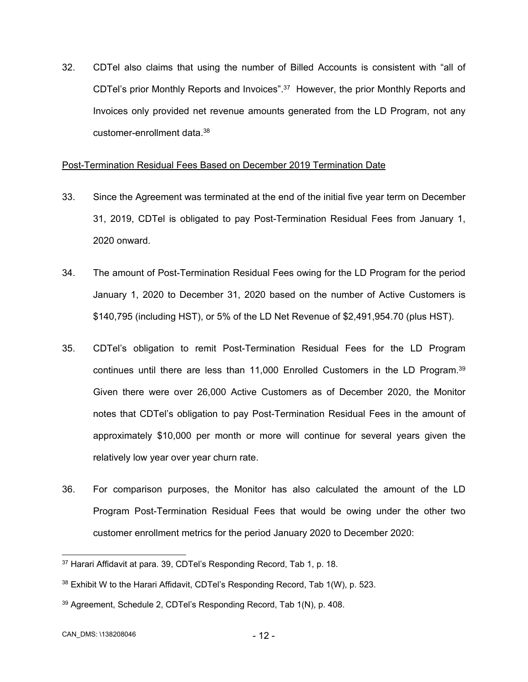32. CDTel also claims that using the number of Billed Accounts is consistent with "all of CDTel's prior Monthly Reports and Invoices".37 However, the prior Monthly Reports and Invoices only provided net revenue amounts generated from the LD Program, not any customer-enrollment data.38

### Post-Termination Residual Fees Based on December 2019 Termination Date

- 33. Since the Agreement was terminated at the end of the initial five year term on December 31, 2019, CDTel is obligated to pay Post-Termination Residual Fees from January 1, 2020 onward.
- 34. The amount of Post-Termination Residual Fees owing for the LD Program for the period January 1, 2020 to December 31, 2020 based on the number of Active Customers is \$140,795 (including HST), or 5% of the LD Net Revenue of \$2,491,954.70 (plus HST).
- 35. CDTel's obligation to remit Post-Termination Residual Fees for the LD Program continues until there are less than 11,000 Enrolled Customers in the LD Program.39 Given there were over 26,000 Active Customers as of December 2020, the Monitor notes that CDTel's obligation to pay Post-Termination Residual Fees in the amount of approximately \$10,000 per month or more will continue for several years given the relatively low year over year churn rate.
- 36. For comparison purposes, the Monitor has also calculated the amount of the LD Program Post-Termination Residual Fees that would be owing under the other two customer enrollment metrics for the period January 2020 to December 2020:

 $\overline{a}$ 

<sup>&</sup>lt;sup>37</sup> Harari Affidavit at para. 39, CDTel's Responding Record, Tab 1, p. 18.

<sup>&</sup>lt;sup>38</sup> Exhibit W to the Harari Affidavit, CDTel's Responding Record, Tab 1(W), p. 523.

<sup>39</sup> Agreement, Schedule 2, CDTel's Responding Record, Tab 1(N), p. 408.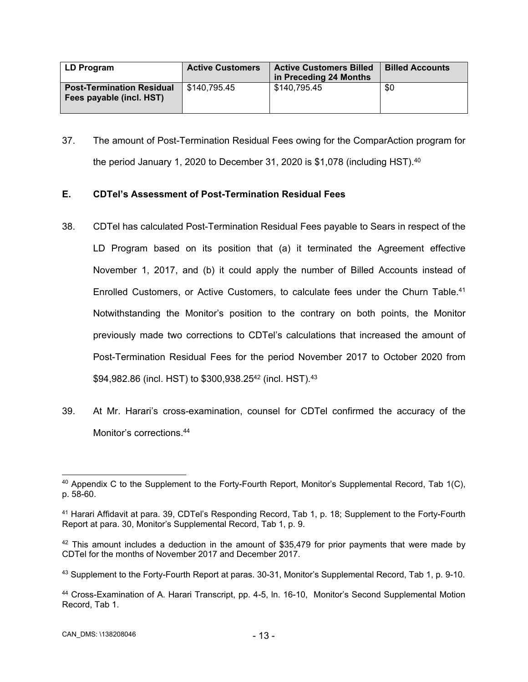| LD Program                                                   | <b>Active Customers</b> | <b>Active Customers Billed</b><br>in Preceding 24 Months | <b>Billed Accounts</b> |
|--------------------------------------------------------------|-------------------------|----------------------------------------------------------|------------------------|
| <b>Post-Termination Residual</b><br>Fees payable (incl. HST) | \$140,795.45            | \$140.795.45                                             | \$0                    |

37. The amount of Post-Termination Residual Fees owing for the ComparAction program for the period January 1, 2020 to December 31, 2020 is \$1,078 (including HST).<sup>40</sup>

# **E. CDTel's Assessment of Post-Termination Residual Fees**

- 38. CDTel has calculated Post-Termination Residual Fees payable to Sears in respect of the LD Program based on its position that (a) it terminated the Agreement effective November 1, 2017, and (b) it could apply the number of Billed Accounts instead of Enrolled Customers, or Active Customers, to calculate fees under the Churn Table.<sup>41</sup> Notwithstanding the Monitor's position to the contrary on both points, the Monitor previously made two corrections to CDTel's calculations that increased the amount of Post-Termination Residual Fees for the period November 2017 to October 2020 from \$94,982.86 (incl. HST) to \$300,938.25<sup>42</sup> (incl. HST).<sup>43</sup>
- 39. At Mr. Harari's cross-examination, counsel for CDTel confirmed the accuracy of the Monitor's corrections  $44$

<sup>-</sup> $40$  Appendix C to the Supplement to the Forty-Fourth Report, Monitor's Supplemental Record, Tab 1(C), p. 58-60.

<sup>41</sup> Harari Affidavit at para. 39, CDTel's Responding Record, Tab 1, p. 18; Supplement to the Forty-Fourth Report at para. 30, Monitor's Supplemental Record, Tab 1, p. 9.

 $42$  This amount includes a deduction in the amount of \$35,479 for prior payments that were made by CDTel for the months of November 2017 and December 2017.

<sup>43</sup> Supplement to the Forty-Fourth Report at paras. 30-31, Monitor's Supplemental Record, Tab 1, p. 9-10.

<sup>44</sup> Cross-Examination of A. Harari Transcript, pp. 4-5, ln. 16-10, Monitor's Second Supplemental Motion Record, Tab 1.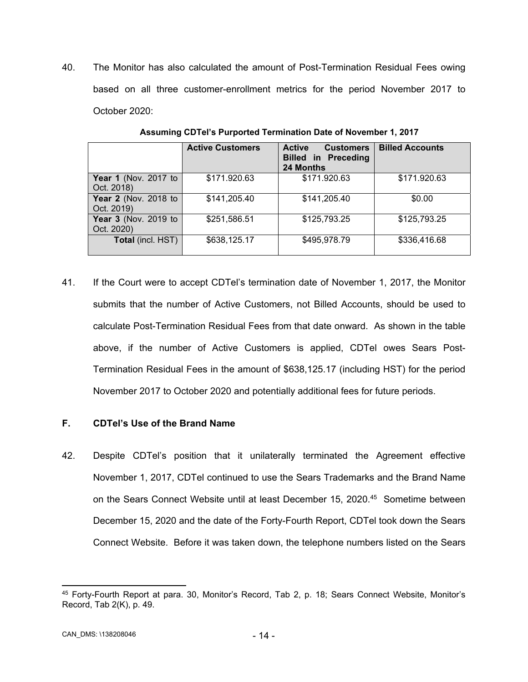40. The Monitor has also calculated the amount of Post-Termination Residual Fees owing based on all three customer-enrollment metrics for the period November 2017 to October 2020:

|                                           | <b>Active Customers</b> | <b>Active</b><br><b>Customers</b><br><b>Billed in Preceding</b><br><b>24 Months</b> | <b>Billed Accounts</b> |
|-------------------------------------------|-------------------------|-------------------------------------------------------------------------------------|------------------------|
| <b>Year 1</b> (Nov. 2017 to<br>Oct. 2018) | \$171.920.63            | \$171.920.63                                                                        | \$171.920.63           |
| Year 2 (Nov. 2018 to<br>Oct. 2019)        | \$141,205.40            | \$141,205.40                                                                        | \$0.00                 |
| Year 3 (Nov. 2019 to<br>Oct. 2020)        | \$251,586.51            | \$125,793.25                                                                        | \$125,793.25           |
| <b>Total</b> (incl. HST)                  | \$638,125.17            | \$495,978.79                                                                        | \$336,416.68           |

**Assuming CDTel's Purported Termination Date of November 1, 2017**

41. If the Court were to accept CDTel's termination date of November 1, 2017, the Monitor submits that the number of Active Customers, not Billed Accounts, should be used to calculate Post-Termination Residual Fees from that date onward. As shown in the table above, if the number of Active Customers is applied, CDTel owes Sears Post-Termination Residual Fees in the amount of \$638,125.17 (including HST) for the period November 2017 to October 2020 and potentially additional fees for future periods.

# **F. CDTel's Use of the Brand Name**

42. Despite CDTel's position that it unilaterally terminated the Agreement effective November 1, 2017, CDTel continued to use the Sears Trademarks and the Brand Name on the Sears Connect Website until at least December 15, 2020.<sup>45</sup> Sometime between December 15, 2020 and the date of the Forty-Fourth Report, CDTel took down the Sears Connect Website. Before it was taken down, the telephone numbers listed on the Sears

 45 Forty-Fourth Report at para. 30, Monitor's Record, Tab 2, p. 18; Sears Connect Website, Monitor's Record, Tab 2(K), p. 49.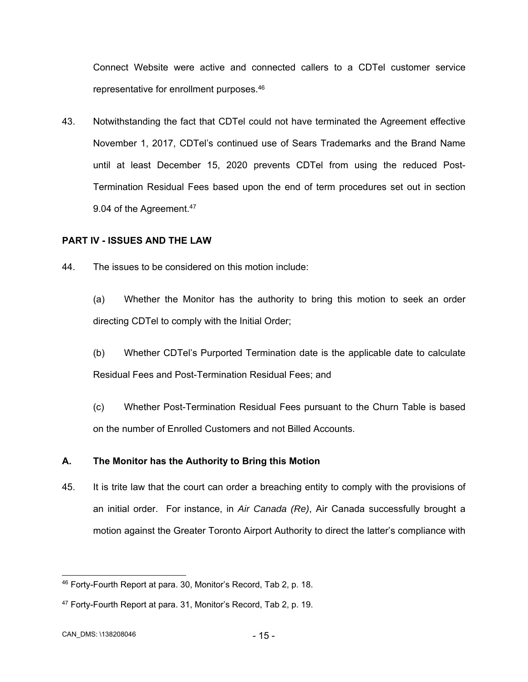Connect Website were active and connected callers to a CDTel customer service representative for enrollment purposes.46

43. Notwithstanding the fact that CDTel could not have terminated the Agreement effective November 1, 2017, CDTel's continued use of Sears Trademarks and the Brand Name until at least December 15, 2020 prevents CDTel from using the reduced Post-Termination Residual Fees based upon the end of term procedures set out in section 9.04 of the Agreement.<sup>47</sup>

# **PART IV - ISSUES AND THE LAW**

- 44. The issues to be considered on this motion include:
	- (a) Whether the Monitor has the authority to bring this motion to seek an order directing CDTel to comply with the Initial Order;
	- (b) Whether CDTel's Purported Termination date is the applicable date to calculate Residual Fees and Post-Termination Residual Fees; and
	- (c) Whether Post-Termination Residual Fees pursuant to the Churn Table is based on the number of Enrolled Customers and not Billed Accounts.

## **A. The Monitor has the Authority to Bring this Motion**

45. It is trite law that the court can order a breaching entity to comply with the provisions of an initial order. For instance, in *Air Canada (Re)*, Air Canada successfully brought a motion against the Greater Toronto Airport Authority to direct the latter's compliance with

 $\overline{a}$ 

<sup>46</sup> Forty-Fourth Report at para. 30, Monitor's Record, Tab 2, p. 18.

<sup>47</sup> Forty-Fourth Report at para. 31, Monitor's Record, Tab 2, p. 19.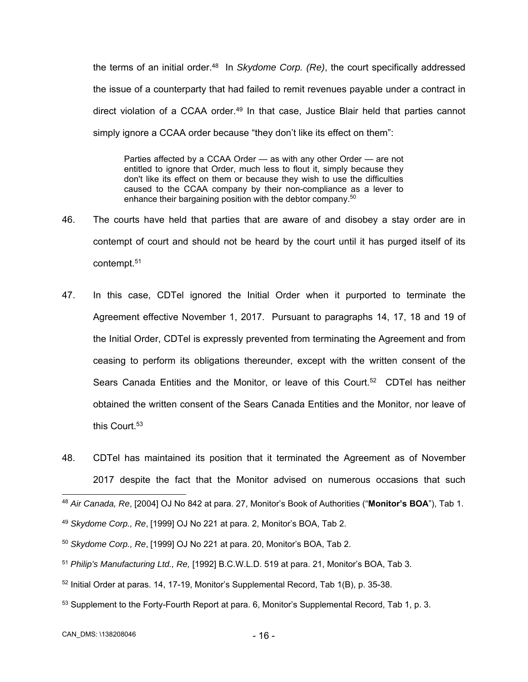the terms of an initial order.48 In *Skydome Corp. (Re)*, the court specifically addressed the issue of a counterparty that had failed to remit revenues payable under a contract in direct violation of a CCAA order.<sup>49</sup> In that case, Justice Blair held that parties cannot simply ignore a CCAA order because "they don't like its effect on them":

Parties affected by a CCAA Order — as with any other Order — are not entitled to ignore that Order, much less to flout it, simply because they don't like its effect on them or because they wish to use the difficulties caused to the CCAA company by their non-compliance as a lever to enhance their bargaining position with the debtor company.<sup>50</sup>

- 46. The courts have held that parties that are aware of and disobey a stay order are in contempt of court and should not be heard by the court until it has purged itself of its contempt.51
- 47. In this case, CDTel ignored the Initial Order when it purported to terminate the Agreement effective November 1, 2017. Pursuant to paragraphs 14, 17, 18 and 19 of the Initial Order, CDTel is expressly prevented from terminating the Agreement and from ceasing to perform its obligations thereunder, except with the written consent of the Sears Canada Entities and the Monitor, or leave of this Court.<sup>52</sup> CDTel has neither obtained the written consent of the Sears Canada Entities and the Monitor, nor leave of this Court.<sup>53</sup>
- 48. CDTel has maintained its position that it terminated the Agreement as of November 2017 despite the fact that the Monitor advised on numerous occasions that such

- $52$  Initial Order at paras. 14, 17-19, Monitor's Supplemental Record, Tab 1(B), p. 35-38.
- 53 Supplement to the Forty-Fourth Report at para. 6, Monitor's Supplemental Record, Tab 1, p. 3.

<sup>-</sup><sup>48</sup> *Air Canada, Re*, [2004] OJ No 842 at para. 27, Monitor's Book of Authorities ("**Monitor's BOA**"), Tab 1.

<sup>49</sup> *Skydome Corp., Re*, [1999] OJ No 221 at para. 2, Monitor's BOA, Tab 2.

<sup>50</sup> *Skydome Corp., Re*, [1999] OJ No 221 at para. 20, Monitor's BOA, Tab 2.

<sup>51</sup> *Philip's Manufacturing Ltd., Re,* [1992] B.C.W.L.D. 519 at para. 21, Monitor's BOA, Tab 3.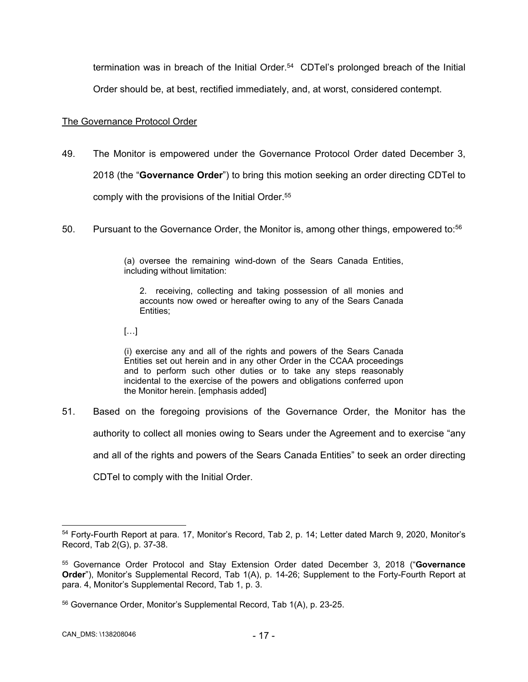termination was in breach of the Initial Order. $54$  CDTel's prolonged breach of the Initial Order should be, at best, rectified immediately, and, at worst, considered contempt.

## The Governance Protocol Order

- 49. The Monitor is empowered under the Governance Protocol Order dated December 3, 2018 (the "**Governance Order**") to bring this motion seeking an order directing CDTel to comply with the provisions of the Initial Order.<sup>55</sup>
- 50. Pursuant to the Governance Order, the Monitor is, among other things, empowered to:56

(a) oversee the remaining wind-down of the Sears Canada Entities, including without limitation:

2. receiving, collecting and taking possession of all monies and accounts now owed or hereafter owing to any of the Sears Canada Entities;

[…]

(i) exercise any and all of the rights and powers of the Sears Canada Entities set out herein and in any other Order in the CCAA proceedings and to perform such other duties or to take any steps reasonably incidental to the exercise of the powers and obligations conferred upon the Monitor herein. [emphasis added]

51. Based on the foregoing provisions of the Governance Order, the Monitor has the authority to collect all monies owing to Sears under the Agreement and to exercise "any and all of the rights and powers of the Sears Canada Entities" to seek an order directing CDTel to comply with the Initial Order.

 $\overline{a}$ 54 Forty-Fourth Report at para. 17, Monitor's Record, Tab 2, p. 14; Letter dated March 9, 2020, Monitor's Record, Tab 2(G), p. 37-38.

<sup>55</sup> Governance Order Protocol and Stay Extension Order dated December 3, 2018 ("**Governance Order**"), Monitor's Supplemental Record, Tab 1(A), p. 14-26; Supplement to the Forty-Fourth Report at para. 4, Monitor's Supplemental Record, Tab 1, p. 3.

<sup>56</sup> Governance Order, Monitor's Supplemental Record, Tab 1(A), p. 23-25.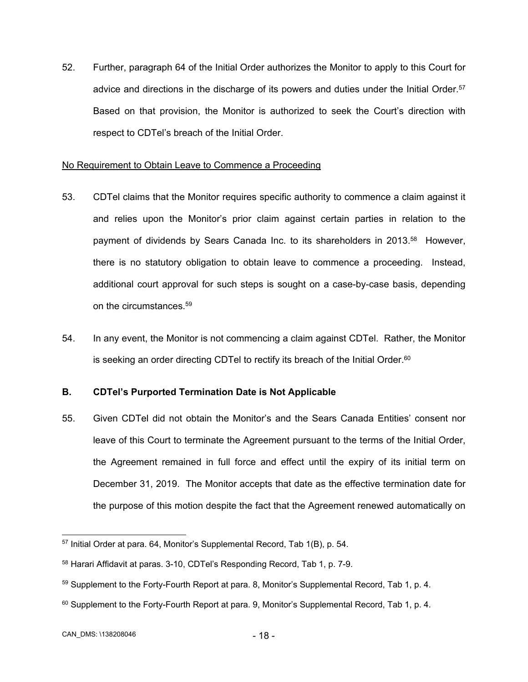52. Further, paragraph 64 of the Initial Order authorizes the Monitor to apply to this Court for advice and directions in the discharge of its powers and duties under the Initial Order.<sup>57</sup> Based on that provision, the Monitor is authorized to seek the Court's direction with respect to CDTel's breach of the Initial Order.

## No Requirement to Obtain Leave to Commence a Proceeding

- 53. CDTel claims that the Monitor requires specific authority to commence a claim against it and relies upon the Monitor's prior claim against certain parties in relation to the payment of dividends by Sears Canada Inc. to its shareholders in 2013.<sup>58</sup> However, there is no statutory obligation to obtain leave to commence a proceeding. Instead, additional court approval for such steps is sought on a case-by-case basis, depending on the circumstances.<sup>59</sup>
- 54. In any event, the Monitor is not commencing a claim against CDTel. Rather, the Monitor is seeking an order directing CDTel to rectify its breach of the Initial Order. $60$

# **B. CDTel's Purported Termination Date is Not Applicable**

55. Given CDTel did not obtain the Monitor's and the Sears Canada Entities' consent nor leave of this Court to terminate the Agreement pursuant to the terms of the Initial Order, the Agreement remained in full force and effect until the expiry of its initial term on December 31, 2019. The Monitor accepts that date as the effective termination date for the purpose of this motion despite the fact that the Agreement renewed automatically on

 $60$  Supplement to the Forty-Fourth Report at para. 9, Monitor's Supplemental Record, Tab 1, p. 4.

<sup>-</sup>57 Initial Order at para. 64, Monitor's Supplemental Record, Tab 1(B), p. 54.

<sup>58</sup> Harari Affidavit at paras. 3-10, CDTel's Responding Record, Tab 1, p. 7-9.

<sup>&</sup>lt;sup>59</sup> Supplement to the Forty-Fourth Report at para. 8, Monitor's Supplemental Record, Tab 1, p. 4.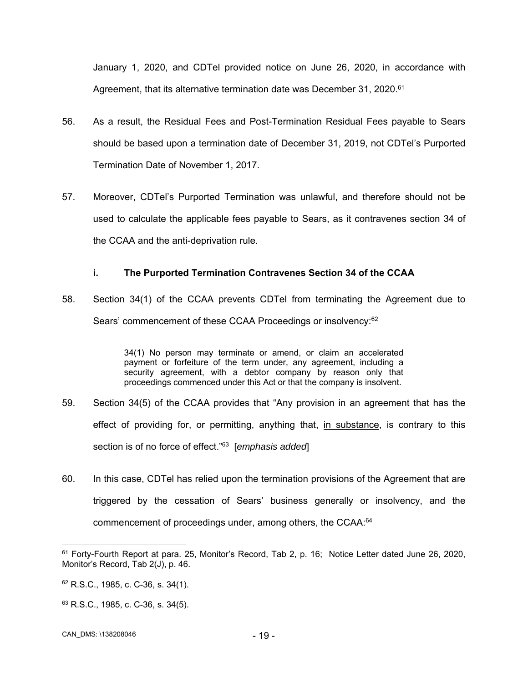January 1, 2020, and CDTel provided notice on June 26, 2020, in accordance with Agreement, that its alternative termination date was December 31, 2020.<sup>61</sup>

- 56. As a result, the Residual Fees and Post-Termination Residual Fees payable to Sears should be based upon a termination date of December 31, 2019, not CDTel's Purported Termination Date of November 1, 2017.
- 57. Moreover, CDTel's Purported Termination was unlawful, and therefore should not be used to calculate the applicable fees payable to Sears, as it contravenes section 34 of the CCAA and the anti-deprivation rule.

# **i. The Purported Termination Contravenes Section 34 of the CCAA**

58. Section 34(1) of the CCAA prevents CDTel from terminating the Agreement due to Sears' commencement of these CCAA Proceedings or insolvency:<sup>62</sup>

> 34(1) No person may terminate or amend, or claim an accelerated payment or forfeiture of the term under, any agreement, including a security agreement, with a debtor company by reason only that proceedings commenced under this Act or that the company is insolvent.

- 59. Section 34(5) of the CCAA provides that "Any provision in an agreement that has the effect of providing for, or permitting, anything that, in substance, is contrary to this section is of no force of effect."63 [*emphasis added*]
- 60. In this case, CDTel has relied upon the termination provisions of the Agreement that are triggered by the cessation of Sears' business generally or insolvency, and the commencement of proceedings under, among others, the CCAA:<sup>64</sup>

<sup>61</sup> Forty-Fourth Report at para. 25, Monitor's Record, Tab 2, p. 16; Notice Letter dated June 26, 2020, Monitor's Record, Tab 2(J), p. 46.

 $62$  R.S.C., 1985, c. C-36, s. 34(1).

<sup>63</sup> R.S.C., 1985, c. C-36, s. 34(5).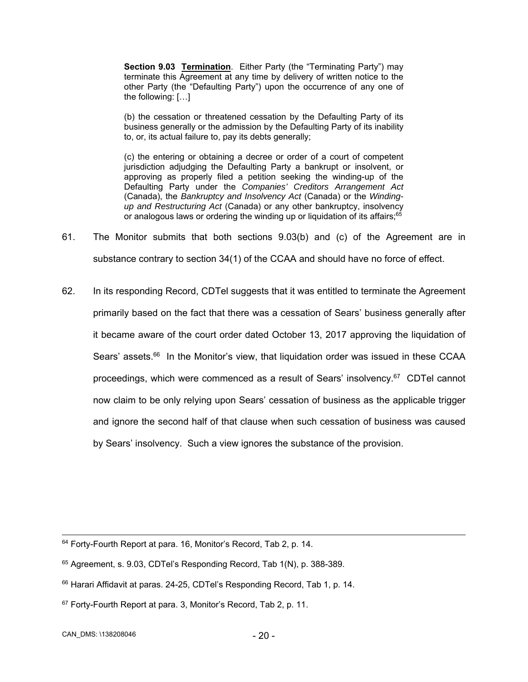**Section 9.03 Termination**. Either Party (the "Terminating Party") may terminate this Agreement at any time by delivery of written notice to the other Party (the "Defaulting Party") upon the occurrence of any one of the following: […]

(b) the cessation or threatened cessation by the Defaulting Party of its business generally or the admission by the Defaulting Party of its inability to, or, its actual failure to, pay its debts generally;

(c) the entering or obtaining a decree or order of a court of competent jurisdiction adjudging the Defaulting Party a bankrupt or insolvent, or approving as properly filed a petition seeking the winding-up of the Defaulting Party under the *Companies' Creditors Arrangement Act*  (Canada), the *Bankruptcy and Insolvency Act* (Canada) or the *Windingup and Restructuring Act* (Canada) or any other bankruptcy, insolvency or analogous laws or ordering the winding up or liquidation of its affairs;<sup>65</sup>

- 61. The Monitor submits that both sections 9.03(b) and (c) of the Agreement are in substance contrary to section 34(1) of the CCAA and should have no force of effect.
- 62. In its responding Record, CDTel suggests that it was entitled to terminate the Agreement primarily based on the fact that there was a cessation of Sears' business generally after it became aware of the court order dated October 13, 2017 approving the liquidation of Sears' assets.<sup>66</sup> In the Monitor's view, that liquidation order was issued in these CCAA proceedings, which were commenced as a result of Sears' insolvency.<sup>67</sup> CDTel cannot now claim to be only relying upon Sears' cessation of business as the applicable trigger and ignore the second half of that clause when such cessation of business was caused by Sears' insolvency. Such a view ignores the substance of the provision.

CAN\_DMS: \138208046 - 20 -

<sup>&</sup>lt;sup>64</sup> Forty-Fourth Report at para. 16, Monitor's Record, Tab 2, p. 14.

<sup>65</sup> Agreement, s. 9.03, CDTel's Responding Record, Tab 1(N), p. 388-389.

<sup>&</sup>lt;sup>66</sup> Harari Affidavit at paras. 24-25, CDTel's Responding Record, Tab 1, p. 14.

<sup>&</sup>lt;sup>67</sup> Forty-Fourth Report at para. 3, Monitor's Record, Tab 2, p. 11.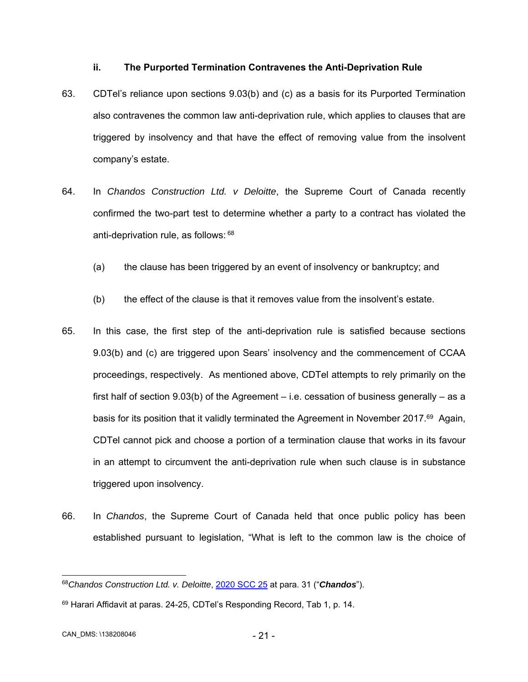#### **ii. The Purported Termination Contravenes the Anti-Deprivation Rule**

- 63. CDTel's reliance upon sections 9.03(b) and (c) as a basis for its Purported Termination also contravenes the common law anti-deprivation rule, which applies to clauses that are triggered by insolvency and that have the effect of removing value from the insolvent company's estate.
- 64. In *Chandos Construction Ltd. v Deloitte*, the Supreme Court of Canada recently confirmed the two-part test to determine whether a party to a contract has violated the anti-deprivation rule, as follows: 68
	- (a) the clause has been triggered by an event of insolvency or bankruptcy; and
	- (b) the effect of the clause is that it removes value from the insolvent's estate.
- 65. In this case, the first step of the anti-deprivation rule is satisfied because sections 9.03(b) and (c) are triggered upon Sears' insolvency and the commencement of CCAA proceedings, respectively. As mentioned above, CDTel attempts to rely primarily on the first half of section  $9.03(b)$  of the Agreement – i.e. cessation of business generally – as a basis for its position that it validly terminated the Agreement in November 2017.69 Again, CDTel cannot pick and choose a portion of a termination clause that works in its favour in an attempt to circumvent the anti-deprivation rule when such clause is in substance triggered upon insolvency.
- 66. In *Chandos*, the Supreme Court of Canada held that once public policy has been established pursuant to legislation, "What is left to the common law is the choice of

 $\overline{a}$ 

<sup>68</sup>*Chandos Construction Ltd. v. Deloitte*, 2020 SCC 25 at para. 31 ("*Chandos*").

<sup>69</sup> Harari Affidavit at paras. 24-25, CDTel's Responding Record, Tab 1, p. 14.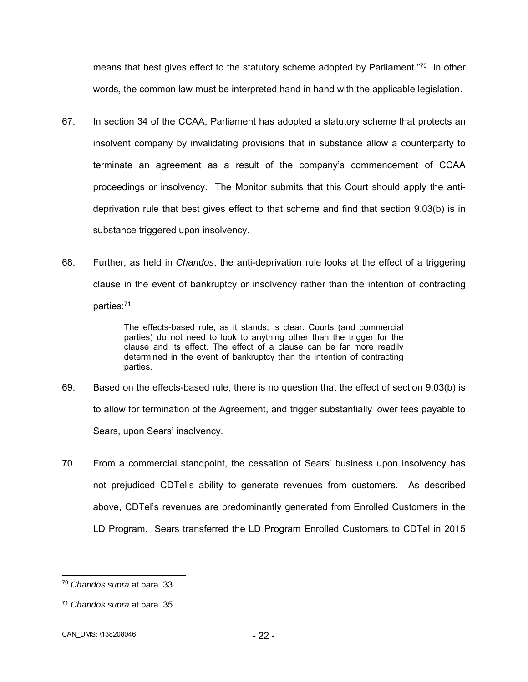means that best gives effect to the statutory scheme adopted by Parliament."<sup>70</sup> In other words, the common law must be interpreted hand in hand with the applicable legislation.

- 67. In section 34 of the CCAA, Parliament has adopted a statutory scheme that protects an insolvent company by invalidating provisions that in substance allow a counterparty to terminate an agreement as a result of the company's commencement of CCAA proceedings or insolvency. The Monitor submits that this Court should apply the antideprivation rule that best gives effect to that scheme and find that section 9.03(b) is in substance triggered upon insolvency.
- 68. Further, as held in *Chandos*, the anti-deprivation rule looks at the effect of a triggering clause in the event of bankruptcy or insolvency rather than the intention of contracting parties:71

The effects-based rule, as it stands, is clear. Courts (and commercial parties) do not need to look to anything other than the trigger for the clause and its effect. The effect of a clause can be far more readily determined in the event of bankruptcy than the intention of contracting parties.

- 69. Based on the effects-based rule, there is no question that the effect of section 9.03(b) is to allow for termination of the Agreement, and trigger substantially lower fees payable to Sears, upon Sears' insolvency.
- 70. From a commercial standpoint, the cessation of Sears' business upon insolvency has not prejudiced CDTel's ability to generate revenues from customers. As described above, CDTel's revenues are predominantly generated from Enrolled Customers in the LD Program. Sears transferred the LD Program Enrolled Customers to CDTel in 2015

 $\overline{a}$ 

<sup>70</sup> *Chandos supra* at para. 33.

<sup>71</sup> *Chandos supra* at para. 35.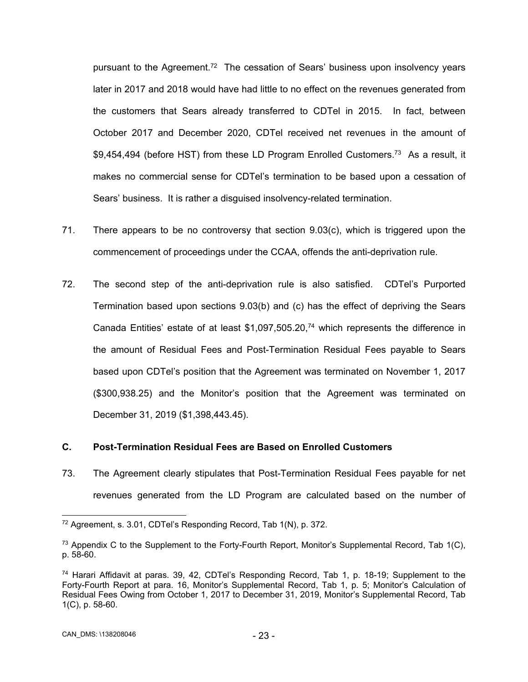pursuant to the Agreement.<sup>72</sup> The cessation of Sears' business upon insolvency years later in 2017 and 2018 would have had little to no effect on the revenues generated from the customers that Sears already transferred to CDTel in 2015. In fact, between October 2017 and December 2020, CDTel received net revenues in the amount of \$9,454,494 (before HST) from these LD Program Enrolled Customers.<sup>73</sup> As a result, it makes no commercial sense for CDTel's termination to be based upon a cessation of Sears' business. It is rather a disguised insolvency-related termination.

- 71. There appears to be no controversy that section 9.03(c), which is triggered upon the commencement of proceedings under the CCAA, offends the anti-deprivation rule.
- 72. The second step of the anti-deprivation rule is also satisfied. CDTel's Purported Termination based upon sections 9.03(b) and (c) has the effect of depriving the Sears Canada Entities' estate of at least  $$1,097,505.20<sup>74</sup>$  which represents the difference in the amount of Residual Fees and Post-Termination Residual Fees payable to Sears based upon CDTel's position that the Agreement was terminated on November 1, 2017 (\$300,938.25) and the Monitor's position that the Agreement was terminated on December 31, 2019 (\$1,398,443.45).

## **C. Post-Termination Residual Fees are Based on Enrolled Customers**

73. The Agreement clearly stipulates that Post-Termination Residual Fees payable for net revenues generated from the LD Program are calculated based on the number of

-

<sup>72</sup> Agreement, s. 3.01, CDTel's Responding Record, Tab 1(N), p. 372.

 $73$  Appendix C to the Supplement to the Forty-Fourth Report, Monitor's Supplemental Record, Tab 1(C), p. 58-60.

<sup>74</sup> Harari Affidavit at paras. 39, 42, CDTel's Responding Record, Tab 1, p. 18-19; Supplement to the Forty-Fourth Report at para. 16, Monitor's Supplemental Record, Tab 1, p. 5; Monitor's Calculation of Residual Fees Owing from October 1, 2017 to December 31, 2019, Monitor's Supplemental Record, Tab 1(C), p. 58-60.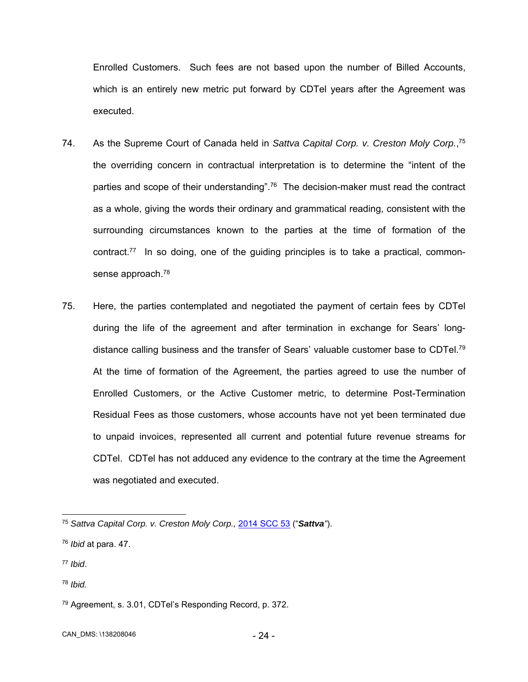Enrolled Customers. Such fees are not based upon the number of Billed Accounts, which is an entirely new metric put forward by CDTel years after the Agreement was executed.

- 74. As the Supreme Court of Canada held in *Sattva Capital Corp. v. Creston Moly Corp.*, 75 the overriding concern in contractual interpretation is to determine the "intent of the parties and scope of their understanding".<sup>76</sup> The decision-maker must read the contract as a whole, giving the words their ordinary and grammatical reading, consistent with the surrounding circumstances known to the parties at the time of formation of the contract.77 In so doing, one of the guiding principles is to take a practical, commonsense approach.<sup>78</sup>
- 75. Here, the parties contemplated and negotiated the payment of certain fees by CDTel during the life of the agreement and after termination in exchange for Sears' longdistance calling business and the transfer of Sears' valuable customer base to CDTel.<sup>79</sup> At the time of formation of the Agreement, the parties agreed to use the number of Enrolled Customers, or the Active Customer metric, to determine Post-Termination Residual Fees as those customers, whose accounts have not yet been terminated due to unpaid invoices, represented all current and potential future revenue streams for CDTel. CDTel has not adduced any evidence to the contrary at the time the Agreement was negotiated and executed.

- <sup>77</sup> *Ibid*.
- <sup>78</sup> *Ibid.*

CAN\_DMS: \138208046 - 24 -

 $\overline{a}$ <sup>75</sup> *Sattva Capital Corp. v. Creston Moly Corp.,* 2014 SCC 53 ("*Sattva"*).

<sup>76</sup> *Ibid* at para. 47.

<sup>79</sup> Agreement, s. 3.01, CDTel's Responding Record, p. 372.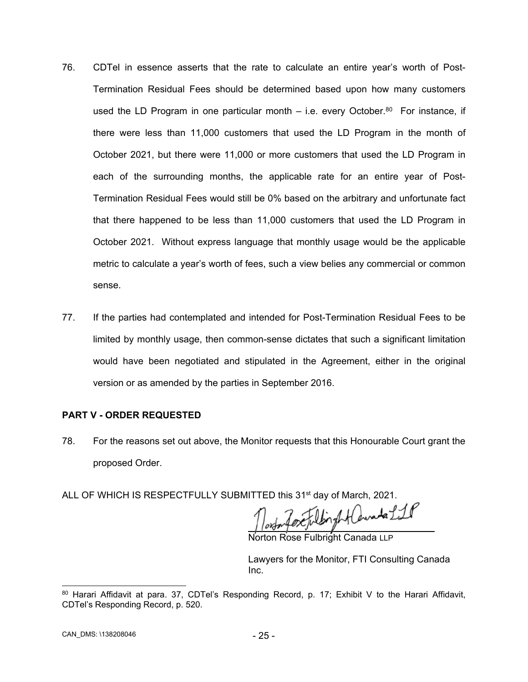- 76. CDTel in essence asserts that the rate to calculate an entire year's worth of Post-Termination Residual Fees should be determined based upon how many customers used the LD Program in one particular month  $-$  i.e. every October.<sup>80</sup> For instance, if there were less than 11,000 customers that used the LD Program in the month of October 2021, but there were 11,000 or more customers that used the LD Program in each of the surrounding months, the applicable rate for an entire year of Post-Termination Residual Fees would still be 0% based on the arbitrary and unfortunate fact that there happened to be less than 11,000 customers that used the LD Program in October 2021. Without express language that monthly usage would be the applicable metric to calculate a year's worth of fees, such a view belies any commercial or common sense.
- 77. If the parties had contemplated and intended for Post-Termination Residual Fees to be limited by monthly usage, then common-sense dictates that such a significant limitation would have been negotiated and stipulated in the Agreement, either in the original version or as amended by the parties in September 2016.

# **PART V - ORDER REQUESTED**

- 78. For the reasons set out above, the Monitor requests that this Honourable Court grant the proposed Order.
- ALL OF WHICH IS RESPECTFULLY SUBMITTED this 31<sup>st</sup> day of March, 2021.

inghtawate Lil

on Rose Fulbright Canada LLP

Lawyers for the Monitor, FTI Consulting Canada Inc.

 80 Harari Affidavit at para. 37, CDTel's Responding Record, p. 17; Exhibit V to the Harari Affidavit, CDTel's Responding Record, p. 520.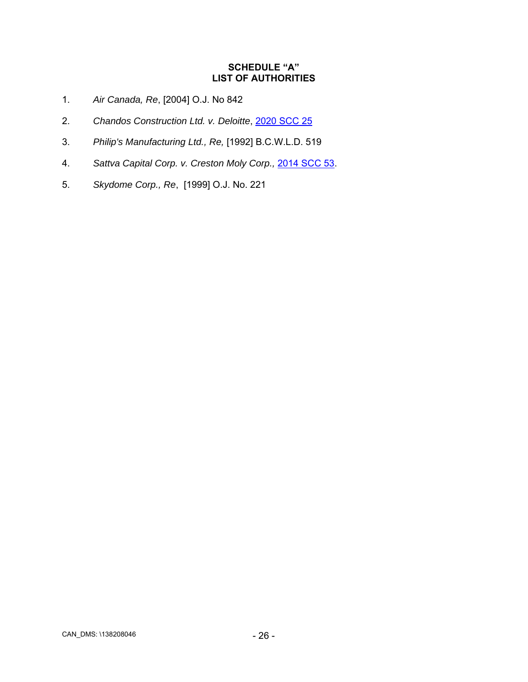# **SCHEDULE "A" LIST OF AUTHORITIES**

- 1. *Air Canada, Re*, [2004] O.J. No 842
- 2. *Chandos Construction Ltd. v. Deloitte*, 2020 SCC 25
- 3. *Philip's Manufacturing Ltd., Re,* [1992] B.C.W.L.D. 519
- 4. *Sattva Capital Corp. v. Creston Moly Corp.,* 2014 SCC 53.
- 5. *Skydome Corp., Re*, [1999] O.J. No. 221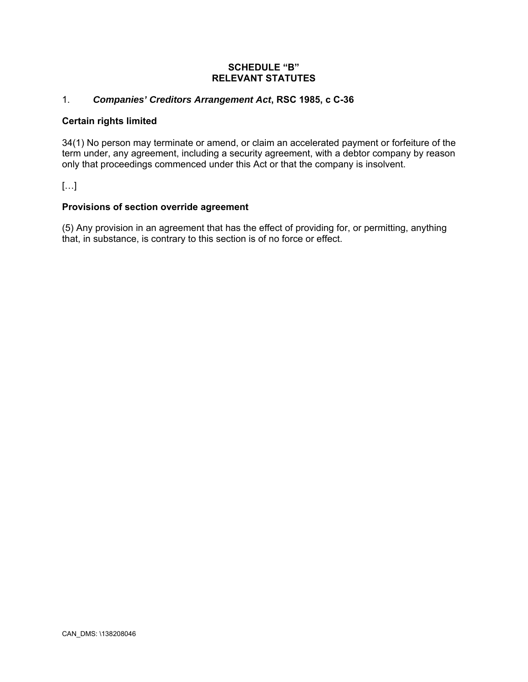## **SCHEDULE "B" RELEVANT STATUTES**

# 1. *Companies' Creditors Arrangement Act***, RSC 1985, c C-36**

### **Certain rights limited**

34(1) No person may terminate or amend, or claim an accelerated payment or forfeiture of the term under, any agreement, including a security agreement, with a debtor company by reason only that proceedings commenced under this Act or that the company is insolvent.

[…]

## **Provisions of section override agreement**

(5) Any provision in an agreement that has the effect of providing for, or permitting, anything that, in substance, is contrary to this section is of no force or effect.